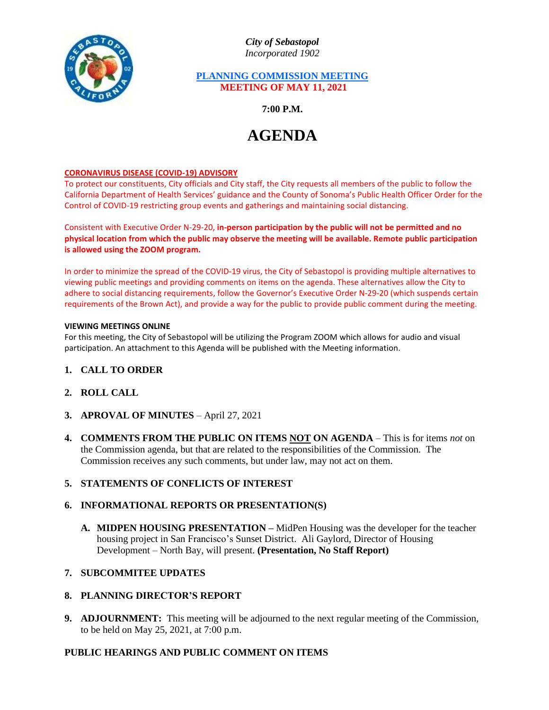

*City of Sebastopol Incorporated 1902*

## **PLANNING COMMISSION MEETING MEETING OF MAY 11, 2021**

**7:00 P.M.**

# **AGENDA**

### **CORONAVIRUS DISEASE (COVID-19) ADVISORY**

To protect our constituents, City officials and City staff, the City requests all members of the public to follow the California Department of Health Services' guidance and the County of Sonoma's Public Health Officer Order for the Control of COVID-19 restricting group events and gatherings and maintaining social distancing.

Consistent with Executive Order N-29-20, **in-person participation by the public will not be permitted and no physical location from which the public may observe the meeting will be available. Remote public participation is allowed using the ZOOM program.**

In order to minimize the spread of the COVID-19 virus, the City of Sebastopol is providing multiple alternatives to viewing public meetings and providing comments on items on the agenda. These alternatives allow the City to adhere to social distancing requirements, follow the Governor's Executive Order N-29-20 (which suspends certain requirements of the Brown Act), and provide a way for the public to provide public comment during the meeting.

#### **VIEWING MEETINGS ONLINE**

For this meeting, the City of Sebastopol will be utilizing the Program ZOOM which allows for audio and visual participation. An attachment to this Agenda will be published with the Meeting information.

- **1. CALL TO ORDER**
- **2. ROLL CALL**
- **3. APROVAL OF MINUTES** April 27, 2021
- **4. COMMENTS FROM THE PUBLIC ON ITEMS NOT ON AGENDA** This is for items *not* on the Commission agenda, but that are related to the responsibilities of the Commission. The Commission receives any such comments, but under law, may not act on them.

## **5. STATEMENTS OF CONFLICTS OF INTEREST**

## **6. INFORMATIONAL REPORTS OR PRESENTATION(S)**

**A. MIDPEN HOUSING PRESENTATION –** MidPen Housing was the developer for the teacher housing project in San Francisco's Sunset District. Ali Gaylord, Director of Housing Development – North Bay, will present. **(Presentation, No Staff Report)**

## **7. SUBCOMMITEE UPDATES**

## **8. PLANNING DIRECTOR'S REPORT**

**9. ADJOURNMENT:** This meeting will be adjourned to the next regular meeting of the Commission, to be held on May 25, 2021, at 7:00 p.m.

## **PUBLIC HEARINGS AND PUBLIC COMMENT ON ITEMS**